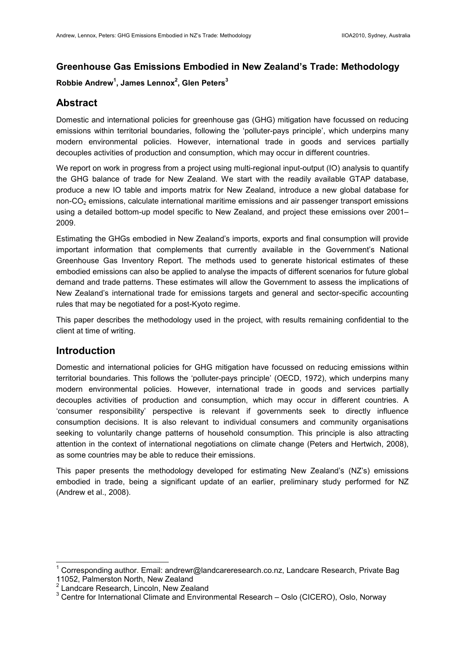# **Greenhouse Gas Emissions Embodied in New Zealand's Trade: Methodology**

## **Robbie Andrew<sup>1</sup> , James Lennox<sup>2</sup> , Glen Peters<sup>3</sup>**

# **Abstract**

Domestic and international policies for greenhouse gas (GHG) mitigation have focussed on reducing emissions within territorial boundaries, following the 'polluter-pays principle', which underpins many modern environmental policies. However, international trade in goods and services partially decouples activities of production and consumption, which may occur in different countries.

We report on work in progress from a project using multi-regional input-output (IO) analysis to quantify the GHG balance of trade for New Zealand. We start with the readily available GTAP database, produce a new IO table and imports matrix for New Zealand, introduce a new global database for non-CO2 emissions, calculate international maritime emissions and air passenger transport emissions using a detailed bottom-up model specific to New Zealand, and project these emissions over 2001– 2009.

Estimating the GHGs embodied in New Zealand's imports, exports and final consumption will provide important information that complements that currently available in the Government's National Greenhouse Gas Inventory Report. The methods used to generate historical estimates of these embodied emissions can also be applied to analyse the impacts of different scenarios for future global demand and trade patterns. These estimates will allow the Government to assess the implications of New Zealand's international trade for emissions targets and general and sector-specific accounting rules that may be negotiated for a post-Kyoto regime.

This paper describes the methodology used in the project, with results remaining confidential to the client at time of writing.

## **Introduction**

 $\overline{\phantom{a}}$ 

Domestic and international policies for GHG mitigation have focussed on reducing emissions within territorial boundaries. This follows the 'polluter-pays principle' (OECD, 1972), which underpins many modern environmental policies. However, international trade in goods and services partially decouples activities of production and consumption, which may occur in different countries. A 'consumer responsibility' perspective is relevant if governments seek to directly influence consumption decisions. It is also relevant to individual consumers and community organisations seeking to voluntarily change patterns of household consumption. This principle is also attracting attention in the context of international negotiations on climate change (Peters and Hertwich, 2008), as some countries may be able to reduce their emissions.

This paper presents the methodology developed for estimating New Zealand's (NZ's) emissions embodied in trade, being a significant update of an earlier, preliminary study performed for NZ (Andrew et al., 2008).

<sup>1</sup> Corresponding author. Email: andrewr@landcareresearch.co.nz, Landcare Research, Private Bag 11052, Palmerston North, New Zealand

<sup>&</sup>lt;sup>2</sup> Landcare Research, Lincoln, New Zealand

<sup>&</sup>lt;sup>3</sup> Centre for International Climate and Environmental Research - Oslo (CICERO), Oslo, Norway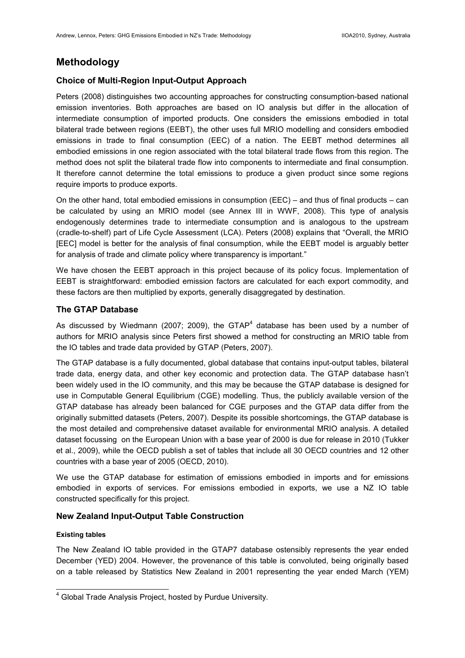## **Methodology**

## **Choice of Multi-Region Input-Output Approach**

Peters (2008) distinguishes two accounting approaches for constructing consumption-based national emission inventories. Both approaches are based on IO analysis but differ in the allocation of intermediate consumption of imported products. One considers the emissions embodied in total bilateral trade between regions (EEBT), the other uses full MRIO modelling and considers embodied emissions in trade to final consumption (EEC) of a nation. The EEBT method determines all embodied emissions in one region associated with the total bilateral trade flows from this region. The method does not split the bilateral trade flow into components to intermediate and final consumption. It therefore cannot determine the total emissions to produce a given product since some regions require imports to produce exports.

On the other hand, total embodied emissions in consumption (EEC) – and thus of final products – can be calculated by using an MRIO model (see Annex III in WWF, 2008). This type of analysis endogenously determines trade to intermediate consumption and is analogous to the upstream (cradle-to-shelf) part of Life Cycle Assessment (LCA). Peters (2008) explains that "Overall, the MRIO [EEC] model is better for the analysis of final consumption, while the EEBT model is arguably better for analysis of trade and climate policy where transparency is important."

We have chosen the EEBT approach in this project because of its policy focus. Implementation of EEBT is straightforward: embodied emission factors are calculated for each export commodity, and these factors are then multiplied by exports, generally disaggregated by destination.

#### **The GTAP Database**

As discussed by Wiedmann (2007; 2009), the GTAP<sup>4</sup> database has been used by a number of authors for MRIO analysis since Peters first showed a method for constructing an MRIO table from the IO tables and trade data provided by GTAP (Peters, 2007).

The GTAP database is a fully documented, global database that contains input-output tables, bilateral trade data, energy data, and other key economic and protection data. The GTAP database hasn't been widely used in the IO community, and this may be because the GTAP database is designed for use in Computable General Equilibrium (CGE) modelling. Thus, the publicly available version of the GTAP database has already been balanced for CGE purposes and the GTAP data differ from the originally submitted datasets (Peters, 2007). Despite its possible shortcomings, the GTAP database is the most detailed and comprehensive dataset available for environmental MRIO analysis. A detailed dataset focussing on the European Union with a base year of 2000 is due for release in 2010 (Tukker et al., 2009), while the OECD publish a set of tables that include all 30 OECD countries and 12 other countries with a base year of 2005 (OECD, 2010).

We use the GTAP database for estimation of emissions embodied in imports and for emissions embodied in exports of services. For emissions embodied in exports, we use a NZ IO table constructed specifically for this project.

### **New Zealand Input-Output Table Construction**

#### **Existing tables**

The New Zealand IO table provided in the GTAP7 database ostensibly represents the year ended December (YED) 2004. However, the provenance of this table is convoluted, being originally based on a table released by Statistics New Zealand in 2001 representing the year ended March (YEM)

 4 Global Trade Analysis Project, hosted by Purdue University.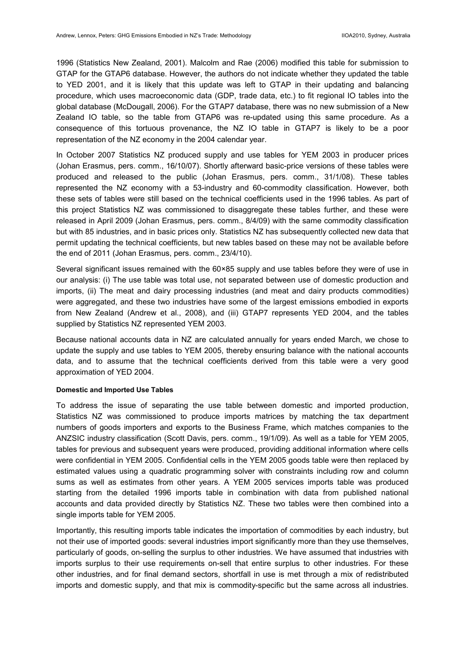1996 (Statistics New Zealand, 2001). Malcolm and Rae (2006) modified this table for submission to GTAP for the GTAP6 database. However, the authors do not indicate whether they updated the table to YED 2001, and it is likely that this update was left to GTAP in their updating and balancing procedure, which uses macroeconomic data (GDP, trade data, etc.) to fit regional IO tables into the global database (McDougall, 2006). For the GTAP7 database, there was no new submission of a New Zealand IO table, so the table from GTAP6 was re-updated using this same procedure. As a consequence of this tortuous provenance, the NZ IO table in GTAP7 is likely to be a poor representation of the NZ economy in the 2004 calendar year.

In October 2007 Statistics NZ produced supply and use tables for YEM 2003 in producer prices (Johan Erasmus, pers. comm., 16/10/07). Shortly afterward basic-price versions of these tables were produced and released to the public (Johan Erasmus, pers. comm., 31/1/08). These tables represented the NZ economy with a 53-industry and 60-commodity classification. However, both these sets of tables were still based on the technical coefficients used in the 1996 tables. As part of this project Statistics NZ was commissioned to disaggregate these tables further, and these were released in April 2009 (Johan Erasmus, pers. comm., 8/4/09) with the same commodity classification but with 85 industries, and in basic prices only. Statistics NZ has subsequently collected new data that permit updating the technical coefficients, but new tables based on these may not be available before the end of 2011 (Johan Erasmus, pers. comm., 23/4/10).

Several significant issues remained with the 60×85 supply and use tables before they were of use in our analysis: (i) The use table was total use, not separated between use of domestic production and imports, (ii) The meat and dairy processing industries (and meat and dairy products commodities) were aggregated, and these two industries have some of the largest emissions embodied in exports from New Zealand (Andrew et al., 2008), and (iii) GTAP7 represents YED 2004, and the tables supplied by Statistics NZ represented YEM 2003.

Because national accounts data in NZ are calculated annually for years ended March, we chose to update the supply and use tables to YEM 2005, thereby ensuring balance with the national accounts data, and to assume that the technical coefficients derived from this table were a very good approximation of YED 2004.

#### **Domestic and Imported Use Tables**

To address the issue of separating the use table between domestic and imported production, Statistics NZ was commissioned to produce imports matrices by matching the tax department numbers of goods importers and exports to the Business Frame, which matches companies to the ANZSIC industry classification (Scott Davis, pers. comm., 19/1/09). As well as a table for YEM 2005, tables for previous and subsequent years were produced, providing additional information where cells were confidential in YEM 2005. Confidential cells in the YEM 2005 goods table were then replaced by estimated values using a quadratic programming solver with constraints including row and column sums as well as estimates from other years. A YEM 2005 services imports table was produced starting from the detailed 1996 imports table in combination with data from published national accounts and data provided directly by Statistics NZ. These two tables were then combined into a single imports table for YEM 2005.

Importantly, this resulting imports table indicates the importation of commodities by each industry, but not their use of imported goods: several industries import significantly more than they use themselves, particularly of goods, on-selling the surplus to other industries. We have assumed that industries with imports surplus to their use requirements on-sell that entire surplus to other industries. For these other industries, and for final demand sectors, shortfall in use is met through a mix of redistributed imports and domestic supply, and that mix is commodity-specific but the same across all industries.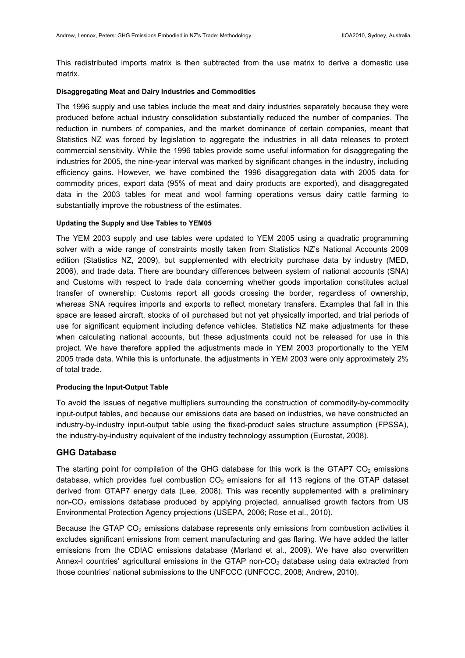This redistributed imports matrix is then subtracted from the use matrix to derive a domestic use matrix.

#### **Disaggregating Meat and Dairy Industries and Commodities**

The 1996 supply and use tables include the meat and dairy industries separately because they were produced before actual industry consolidation substantially reduced the number of companies. The reduction in numbers of companies, and the market dominance of certain companies, meant that Statistics NZ was forced by legislation to aggregate the industries in all data releases to protect commercial sensitivity. While the 1996 tables provide some useful information for disaggregating the industries for 2005, the nine-year interval was marked by significant changes in the industry, including efficiency gains. However, we have combined the 1996 disaggregation data with 2005 data for commodity prices, export data (95% of meat and dairy products are exported), and disaggregated data in the 2003 tables for meat and wool farming operations versus dairy cattle farming to substantially improve the robustness of the estimates.

#### **Updating the Supply and Use Tables to YEM05**

The YEM 2003 supply and use tables were updated to YEM 2005 using a quadratic programming solver with a wide range of constraints mostly taken from Statistics NZ's National Accounts 2009 edition (Statistics NZ, 2009), but supplemented with electricity purchase data by industry (MED, 2006), and trade data. There are boundary differences between system of national accounts (SNA) and Customs with respect to trade data concerning whether goods importation constitutes actual transfer of ownership: Customs report all goods crossing the border, regardless of ownership, whereas SNA requires imports and exports to reflect monetary transfers. Examples that fall in this space are leased aircraft, stocks of oil purchased but not yet physically imported, and trial periods of use for significant equipment including defence vehicles. Statistics NZ make adjustments for these when calculating national accounts, but these adjustments could not be released for use in this project. We have therefore applied the adjustments made in YEM 2003 proportionally to the YEM 2005 trade data. While this is unfortunate, the adjustments in YEM 2003 were only approximately 2% of total trade.

#### **Producing the Input-Output Table**

To avoid the issues of negative multipliers surrounding the construction of commodity-by-commodity input-output tables, and because our emissions data are based on industries, we have constructed an industry-by-industry input-output table using the fixed-product sales structure assumption (FPSSA), the industry-by-industry equivalent of the industry technology assumption (Eurostat, 2008).

#### **GHG Database**

The starting point for compilation of the GHG database for this work is the GTAP7  $CO<sub>2</sub>$  emissions database, which provides fuel combustion  $CO<sub>2</sub>$  emissions for all 113 regions of the GTAP dataset derived from GTAP7 energy data (Lee, 2008). This was recently supplemented with a preliminary non-CO<sub>2</sub> emissions database produced by applying projected, annualised growth factors from US Environmental Protection Agency projections (USEPA, 2006; Rose et al., 2010).

Because the GTAP CO<sub>2</sub> emissions database represents only emissions from combustion activities it excludes significant emissions from cement manufacturing and gas flaring. We have added the latter emissions from the CDIAC emissions database (Marland et al., 2009). We have also overwritten Annex-I countries' agricultural emissions in the GTAP non-CO<sub>2</sub> database using data extracted from those countries' national submissions to the UNFCCC (UNFCCC, 2008; Andrew, 2010).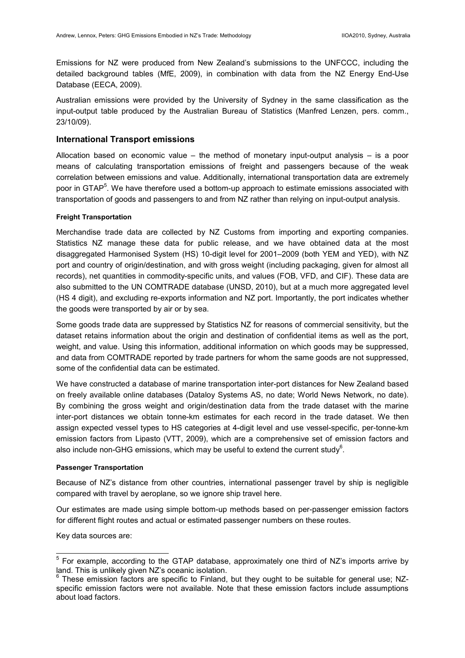Emissions for NZ were produced from New Zealand's submissions to the UNFCCC, including the detailed background tables (MfE, 2009), in combination with data from the NZ Energy End-Use Database (EECA, 2009).

Australian emissions were provided by the University of Sydney in the same classification as the input-output table produced by the Australian Bureau of Statistics (Manfred Lenzen, pers. comm., 23/10/09).

#### **International Transport emissions**

Allocation based on economic value – the method of monetary input-output analysis – is a poor means of calculating transportation emissions of freight and passengers because of the weak correlation between emissions and value. Additionally, international transportation data are extremely poor in GTAP<sup>5</sup>. We have therefore used a bottom-up approach to estimate emissions associated with transportation of goods and passengers to and from NZ rather than relying on input-output analysis.

#### **Freight Transportation**

Merchandise trade data are collected by NZ Customs from importing and exporting companies. Statistics NZ manage these data for public release, and we have obtained data at the most disaggregated Harmonised System (HS) 10-digit level for 2001–2009 (both YEM and YED), with NZ port and country of origin/destination, and with gross weight (including packaging, given for almost all records), net quantities in commodity-specific units, and values (FOB, VFD, and CIF). These data are also submitted to the UN COMTRADE database (UNSD, 2010), but at a much more aggregated level (HS 4 digit), and excluding re-exports information and NZ port. Importantly, the port indicates whether the goods were transported by air or by sea.

Some goods trade data are suppressed by Statistics NZ for reasons of commercial sensitivity, but the dataset retains information about the origin and destination of confidential items as well as the port, weight, and value. Using this information, additional information on which goods may be suppressed, and data from COMTRADE reported by trade partners for whom the same goods are not suppressed, some of the confidential data can be estimated.

We have constructed a database of marine transportation inter-port distances for New Zealand based on freely available online databases (Dataloy Systems AS, no date; World News Network, no date). By combining the gross weight and origin/destination data from the trade dataset with the marine inter-port distances we obtain tonne-km estimates for each record in the trade dataset. We then assign expected vessel types to HS categories at 4-digit level and use vessel-specific, per-tonne-km emission factors from Lipasto (VTT, 2009), which are a comprehensive set of emission factors and also include non-GHG emissions, which may be useful to extend the current study<sup>6</sup>.

#### **Passenger Transportation**

Because of NZ's distance from other countries, international passenger travel by ship is negligible compared with travel by aeroplane, so we ignore ship travel here.

Our estimates are made using simple bottom-up methods based on per-passenger emission factors for different flight routes and actual or estimated passenger numbers on these routes.

Key data sources are:

<sup>————————————————————&</sup>lt;br><sup>5</sup> For example, according to the GTAP database, approximately one third of NZ's imports arrive by land. This is unlikely given NZ's oceanic isolation.

<sup>&</sup>lt;sup>6</sup> These emission factors are specific to Finland, but they ought to be suitable for general use; NZspecific emission factors were not available. Note that these emission factors include assumptions about load factors.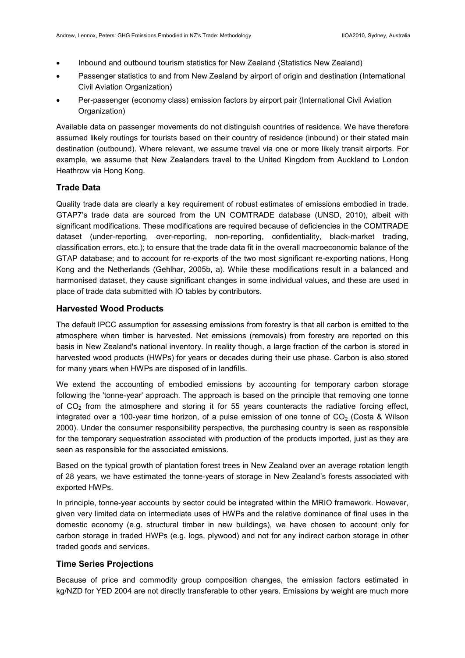- Inbound and outbound tourism statistics for New Zealand (Statistics New Zealand)
- Passenger statistics to and from New Zealand by airport of origin and destination (International Civil Aviation Organization)
- Per-passenger (economy class) emission factors by airport pair (International Civil Aviation Organization)

Available data on passenger movements do not distinguish countries of residence. We have therefore assumed likely routings for tourists based on their country of residence (inbound) or their stated main destination (outbound). Where relevant, we assume travel via one or more likely transit airports. For example, we assume that New Zealanders travel to the United Kingdom from Auckland to London Heathrow via Hong Kong.

#### **Trade Data**

Quality trade data are clearly a key requirement of robust estimates of emissions embodied in trade. GTAP7's trade data are sourced from the UN COMTRADE database (UNSD, 2010), albeit with significant modifications. These modifications are required because of deficiencies in the COMTRADE dataset (under-reporting, over-reporting, non-reporting, confidentiality, black-market trading, classification errors, etc.); to ensure that the trade data fit in the overall macroeconomic balance of the GTAP database; and to account for re-exports of the two most significant re-exporting nations, Hong Kong and the Netherlands (Gehlhar, 2005b, a). While these modifications result in a balanced and harmonised dataset, they cause significant changes in some individual values, and these are used in place of trade data submitted with IO tables by contributors.

#### **Harvested Wood Products**

The default IPCC assumption for assessing emissions from forestry is that all carbon is emitted to the atmosphere when timber is harvested. Net emissions (removals) from forestry are reported on this basis in New Zealand's national inventory. In reality though, a large fraction of the carbon is stored in harvested wood products (HWPs) for years or decades during their use phase. Carbon is also stored for many years when HWPs are disposed of in landfills.

We extend the accounting of embodied emissions by accounting for temporary carbon storage following the 'tonne-year' approach. The approach is based on the principle that removing one tonne of  $CO<sub>2</sub>$  from the atmosphere and storing it for 55 years counteracts the radiative forcing effect, integrated over a 100-year time horizon, of a pulse emission of one tonne of  $CO<sub>2</sub>$  (Costa & Wilson 2000). Under the consumer responsibility perspective, the purchasing country is seen as responsible for the temporary sequestration associated with production of the products imported, just as they are seen as responsible for the associated emissions.

Based on the typical growth of plantation forest trees in New Zealand over an average rotation length of 28 years, we have estimated the tonne-years of storage in New Zealand's forests associated with exported HWPs.

In principle, tonne-year accounts by sector could be integrated within the MRIO framework. However, given very limited data on intermediate uses of HWPs and the relative dominance of final uses in the domestic economy (e.g. structural timber in new buildings), we have chosen to account only for carbon storage in traded HWPs (e.g. logs, plywood) and not for any indirect carbon storage in other traded goods and services.

#### **Time Series Projections**

Because of price and commodity group composition changes, the emission factors estimated in kg/NZD for YED 2004 are not directly transferable to other years. Emissions by weight are much more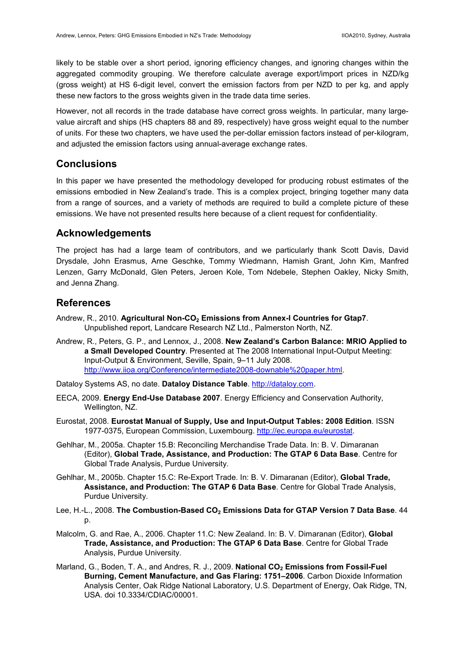likely to be stable over a short period, ignoring efficiency changes, and ignoring changes within the aggregated commodity grouping. We therefore calculate average export/import prices in NZD/kg (gross weight) at HS 6-digit level, convert the emission factors from per NZD to per kg, and apply these new factors to the gross weights given in the trade data time series.

However, not all records in the trade database have correct gross weights. In particular, many largevalue aircraft and ships (HS chapters 88 and 89, respectively) have gross weight equal to the number of units. For these two chapters, we have used the per-dollar emission factors instead of per-kilogram, and adjusted the emission factors using annual-average exchange rates.

## **Conclusions**

In this paper we have presented the methodology developed for producing robust estimates of the emissions embodied in New Zealand's trade. This is a complex project, bringing together many data from a range of sources, and a variety of methods are required to build a complete picture of these emissions. We have not presented results here because of a client request for confidentiality.

## **Acknowledgements**

The project has had a large team of contributors, and we particularly thank Scott Davis, David Drysdale, John Erasmus, Arne Geschke, Tommy Wiedmann, Hamish Grant, John Kim, Manfred Lenzen, Garry McDonald, Glen Peters, Jeroen Kole, Tom Ndebele, Stephen Oakley, Nicky Smith, and Jenna Zhang.

## **References**

- Andrew, R., 2010. **Agricultural Non-CO2 Emissions from Annex-I Countries for Gtap7**. Unpublished report, Landcare Research NZ Ltd., Palmerston North, NZ.
- Andrew, R., Peters, G. P., and Lennox, J., 2008. **New Zealand's Carbon Balance: MRIO Applied to a Small Developed Country**. Presented at The 2008 International Input-Output Meeting: Input-Output & Environment, Seville, Spain, 9–11 July 2008. http://www.iioa.org/Conference/intermediate2008-downable%20paper.html.
- Dataloy Systems AS, no date. Dataloy Distance Table. http://dataloy.com.
- EECA, 2009. **Energy End-Use Database 2007**. Energy Efficiency and Conservation Authority, Wellington, NZ.
- Eurostat, 2008. **Eurostat Manual of Supply, Use and Input-Output Tables: 2008 Edition**. ISSN 1977-0375, European Commission, Luxembourg. http://ec.europa.eu/eurostat.
- Gehlhar, M., 2005a. Chapter 15.B: Reconciling Merchandise Trade Data. In: B. V. Dimaranan (Editor), **Global Trade, Assistance, and Production: The GTAP 6 Data Base**. Centre for Global Trade Analysis, Purdue University.
- Gehlhar, M., 2005b. Chapter 15.C: Re-Export Trade. In: B. V. Dimaranan (Editor), **Global Trade, Assistance, and Production: The GTAP 6 Data Base**. Centre for Global Trade Analysis, Purdue University.
- Lee, H.-L., 2008. **The Combustion-Based CO2 Emissions Data for GTAP Version 7 Data Base**. 44 p.
- Malcolm, G. and Rae, A., 2006. Chapter 11.C: New Zealand. In: B. V. Dimaranan (Editor), **Global Trade, Assistance, and Production: The GTAP 6 Data Base**. Centre for Global Trade Analysis, Purdue University.
- Marland, G., Boden, T. A., and Andres, R. J., 2009. **National CO2 Emissions from Fossil-Fuel Burning, Cement Manufacture, and Gas Flaring: 1751–2006**. Carbon Dioxide Information Analysis Center, Oak Ridge National Laboratory, U.S. Department of Energy, Oak Ridge, TN, USA. doi 10.3334/CDIAC/00001.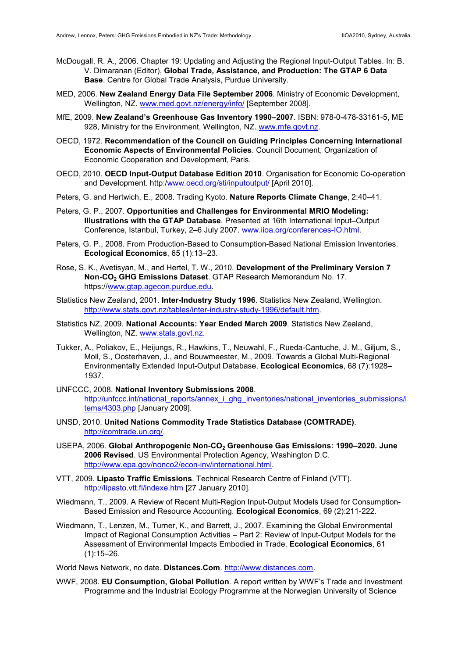- McDougall, R. A., 2006. Chapter 19: Updating and Adjusting the Regional Input-Output Tables. In: B. V. Dimaranan (Editor), **Global Trade, Assistance, and Production: The GTAP 6 Data Base**. Centre for Global Trade Analysis, Purdue University.
- MED, 2006. **New Zealand Energy Data File September 2006**. Ministry of Economic Development, Wellington, NZ. www.med.govt.nz/energy/info/ [September 2008].
- MfE, 2009. **New Zealand's Greenhouse Gas Inventory 1990–2007**. ISBN: 978-0-478-33161-5, ME 928. Ministry for the Environment, Wellington, NZ. www.mfe.govt.nz.
- OECD, 1972. **Recommendation of the Council on Guiding Principles Concerning International Economic Aspects of Environmental Policies**. Council Document, Organization of Economic Cooperation and Development, Paris.
- OECD, 2010. **OECD Input-Output Database Edition 2010**. Organisation for Economic Co-operation and Development. http:/www.oecd.org/sti/inputoutput/ [April 2010].
- Peters, G. and Hertwich, E., 2008. Trading Kyoto. **Nature Reports Climate Change**, 2:40–41.
- Peters, G. P., 2007. **Opportunities and Challenges for Environmental MRIO Modeling: Illustrations with the GTAP Database**. Presented at 16th International Input–Output Conference, Istanbul, Turkey, 2–6 July 2007. www.iioa.org/conferences-IO.html.
- Peters, G. P., 2008. From Production-Based to Consumption-Based National Emission Inventories. **Ecological Economics**, 65 (1):13–23.
- Rose, S. K., Avetisyan, M., and Hertel, T. W., 2010. **Development of the Preliminary Version 7 Non-CO2 GHG Emissions Dataset**. GTAP Research Memorandum No. 17. https://www.gtap.agecon.purdue.edu.
- Statistics New Zealand, 2001. **Inter-Industry Study 1996**. Statistics New Zealand, Wellington. http://www.stats.govt.nz/tables/inter-industry-study-1996/default.htm.
- Statistics NZ, 2009. **National Accounts: Year Ended March 2009**. Statistics New Zealand, Wellington, NZ. www.stats.govt.nz.
- Tukker, A., Poliakov, E., Heijungs, R., Hawkins, T., Neuwahl, F., Rueda-Cantuche, J. M., Giljum, S., Moll, S., Oosterhaven, J., and Bouwmeester, M., 2009. Towards a Global Multi-Regional Environmentally Extended Input-Output Database. **Ecological Economics**, 68 (7):1928– 1937.
- UNFCCC, 2008. **National Inventory Submissions 2008**. http://unfccc.int/national\_reports/annex\_i\_ghg\_inventories/national\_inventories\_submissions/i tems/4303.php [January 2009].
- UNSD, 2010. **United Nations Commodity Trade Statistics Database (COMTRADE)**. http://comtrade.un.org/.
- USEPA, 2006. **Global Anthropogenic Non-CO2 Greenhouse Gas Emissions: 1990–2020. June 2006 Revised**. US Environmental Protection Agency, Washington D.C. http://www.epa.gov/nonco2/econ-inv/international.html.
- VTT, 2009. **Lipasto Traffic Emissions**. Technical Research Centre of Finland (VTT). http://lipasto.vtt.fi/indexe.htm [27 January 2010].
- Wiedmann, T., 2009. A Review of Recent Multi-Region Input-Output Models Used for Consumption-Based Emission and Resource Accounting. **Ecological Economics**, 69 (2):211-222.
- Wiedmann, T., Lenzen, M., Turner, K., and Barrett, J., 2007. Examining the Global Environmental Impact of Regional Consumption Activities – Part 2: Review of Input-Output Models for the Assessment of Environmental Impacts Embodied in Trade. **Ecological Economics**, 61  $(1):15-26.$

World News Network, no date. **Distances.Com**. http://www.distances.com.

WWF, 2008. **EU Consumption, Global Pollution**. A report written by WWF's Trade and Investment Programme and the Industrial Ecology Programme at the Norwegian University of Science